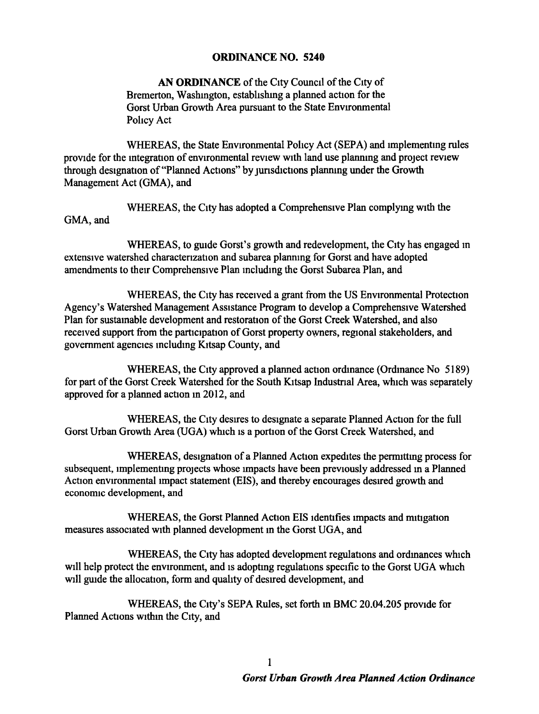## ORDINANCE NO. 5240

AN ORDINANCE of the City Council of the City of Bremerton, Washington, establishing a planned action for the Gorst Urban Growth Area pursuant to the State Envrronmental Policy Act

WHEREAS, the State Environmental Policy Act (SEPA) and implementing rules provide for the integration of environmental review with land use planning and project review through designation of "Planned Actions" by jurisdictions planning under the Growth Management Act (GMA), and

WHEREAS, the City has adopted a Comprehensive Plan complymg with the GMA, and

WHEREAS, to guide Gorst's growth and redevelopment, the City has engaged in extensive watershed charactenzation and subarea plannmg for Gorst and have adopted amendments to their Comprehensive Plan mcludmg the Gorst Subarea Plan, and

WHEREAS, the City has received a grant from the US Environmental Protection Agency's Watershed Management Assistance Program to develop a Comprehensive Watershed Plan for sustamable development and restoration of the Gorst Creek Watershed, and also received support from the participation of Gorst property owners, regional stakeholders, and government agencies mcludmg Kttsap County, and

WHEREAS, the City approved a planned action ordinance (Ordinance No 5189) for part of the Gorst Creek Watershed for the South Kitsap Industrial Area, which was separately approved for a planned action m 2012, and

WHEREAS, the City desires to designate a separate Planned Action for the full Gorst Urban Growth Area (UGA) which is a portion of the Gorst Creek Watershed, and

WHEREAS, designation of a Planned Action expedities the permitting process for subsequent, implementing projects whose impacts have been previously addressed in a Planned Action environmental impact statement (EIS), and thereby encourages desired growth and economic development, and

WHEREAS, the Gorst Planned Action EIS Identifies tmpacts and nutigation measures associated wtth planned development m the Gorst UGA, and

WHEREAS, the City has adopted development regulations and ordinances which will help protect the environment, and is adopting regulations specific to the Gorst UGA which will guide the allocation, form and quality of desired development, and

WHEREAS, the Ctty's SEPA Rules, set forth m BMC 20.04.205 provide for Planned Actions wtthm the Ctty, and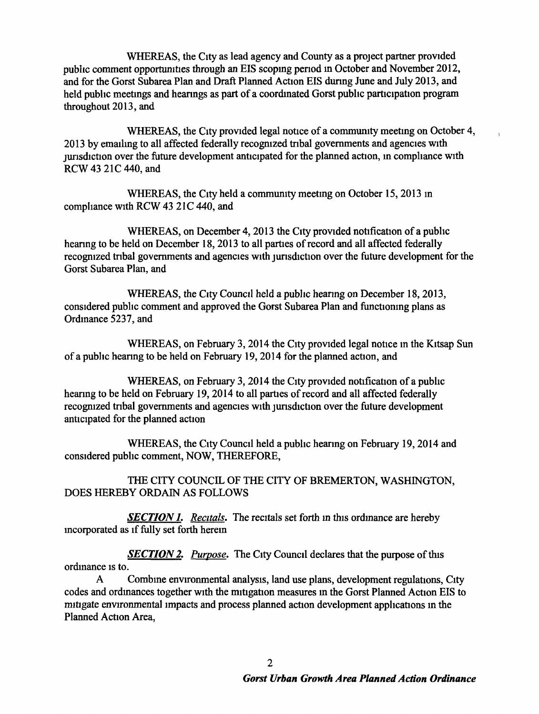WHEREAS, the City as lead agency and County as a project partner provided pubhc comment opportumttes through an EIS scopmg penod m October and November 2012, and for the Gorst Subarea Plan and Draft Planned Action EIS dunng June and July 2013, and held public meetings and hearings as part of a coordinated Gorst public participation program throughout 2013, and

WHEREAS, the City provided legal notice of a community meeting on October 4, 2013 by emailing to all affected federally recognized tribal governments and agencies with jurisdiction over the future development anticipated for the planned action, in compliance with RCW 43 21C 440, and

 $\mathbf{r}$ 

WHEREAS, the City held a community meeting on October 15, 2013 in compliance with RCW 43 21C 440, and

WHEREAS, on December 4, 2013 the City provided notification of a public heanng to be held on December 18, 2013 to all parttes of record and all affected federally recognized tribal governments and agencies with jurisdiction over the future development for the Gorst Subarea Plan, and

WHEREAS, the City Council held a public hearing on December 18, 2013, considered public comment and approved the Gorst Subarea Plan and functioning plans as Ordmance 5237, and

WHEREAS, on February 3, 2014 the City provided legal notice in the Kitsap Sun of a public hearing to be held on February 19, 2014 for the planned action, and

WHEREAS, on February 3, 2014 the City provided notification of a public hearing to be held on February 19, 2014 to all parties of record and all affected federally recognized tribal governments and agencies with jurisdiction over the future development anticipated for the planned action

WHEREAS, the City Council held a public hearing on February 19, 2014 and constdered pubhc comment, NOW, THEREFORE,

THE CITY COUNCIL OF THE CITY OF BREMERTON, WASHINGTON, DOES HEREBY ORDAIN AS FOLLOWS

**SECTION 1.** Recitals. The recitals set forth in this ordinance are hereby mcorporated as if fully set forth herein

*SECTION 2. Purpose.* The City Council declares that the purpose of this ordinance is to.

A Combine environmental analysis, land use plans, development regulations, City codes and ordinances together with the mitigation measures in the Gorst Planned Action EIS to mitigate environmental impacts and process planned action development applications in the Planned Action Area,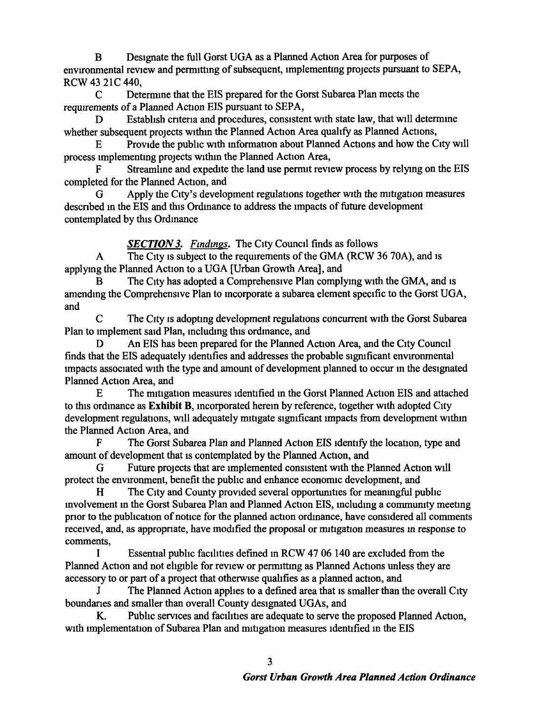B Designate the full Gorst UGA as a Planned Action Area for purposes of envrronmental review and pemuttmg of subsequent, unplementmg projects pursuant to SEPA, RCW 43 21C 440,

C Determme that the EIS prepared for the Gorst Subarea Plan meets the requirements of a Planned Action EIS pursuant to SEPA,

D Establish criteria and procedures, consistent with state law, that will determine whether subsequent projects withm the Planned Action Area quahfy as Planned Actions,

E Provide the pubhc With mformation about Planned Actions and how the City Will process unplementmg projects withm the Planned Action Area,

F Streamline and expedite the land use permit review process by relying on the EIS completed for the Planned Action, and

G Apply the City's development regulations together With the mitigation measures described in the EIS and this Ordinance to address the impacts of future development contemplated by this Ordmance

*SECTION 3. Findings.* The City Council finds as follows

A The City is subject to the requirements of the GMA (RCW 36 70A), and is applymg the Planned Actton to a UGA [Urban Growth Area], and

The City has adopted a Comprehensive Plan complying with the GMA, and is amendmg the Comprehensive Plan to mcorporate a subarea element specific to the Gorst UGA, and

C The City is adopting development regulations concurrent with the Gorst Subarea Plan to implement said Plan, including this ordinance, and

D An EIS has been prepared for the Planned Action Area, and the City Council finds that the EIS adequately tdentifies and addresses the probable stgntficant envrronmental tmpacts associated wtth the type and amount of development planned to occur m the des1gnated Planned Action Area, and

E The mitigation measures identified in the Gorst Planned Action EIS and attached to this ordinance as Exhibit B, incorporated herein by reference, together with adopted City development regulations, will adequately mitigate significant impacts from development within the Planned Action Area, and

F The Gorst Subarea Plan and Planned Action EIS Identify the location, type and amount of development that is contemplated by the Planned Action, and

G Future projects that are implemented consistent with the Planned Action will protect the environment, benefit the pubhc and enhance economtc development, and

H The City and County provided several opportunities for meaningful public mvolvement m the Gorst Subarea Plan and Planned Action EIS, mcludmg a commumty meetmg prior to the publication of notice for the planned action ordinance, have considered all comments received, and, as appropriate, have modified the proposal or mitigation measures in response to comments,

I Essential pubhc facihties defmed m RCW 47 06 140 are excluded from the Planned Action and not ehgtble for review or pemuttmg as Planned Actions unless they are accessory to or part of a project that otherwise qualifies as a planned action, and

J The Planned Action apphes to a defmed area that IS smaller than the overall City boundanes and smaller than overall County designated UGAs, and

K. Pubhc services and facihttes are adequate to serve the proposed Planned Action, with implementation of Subarea Plan and mitigation measures identified in the EIS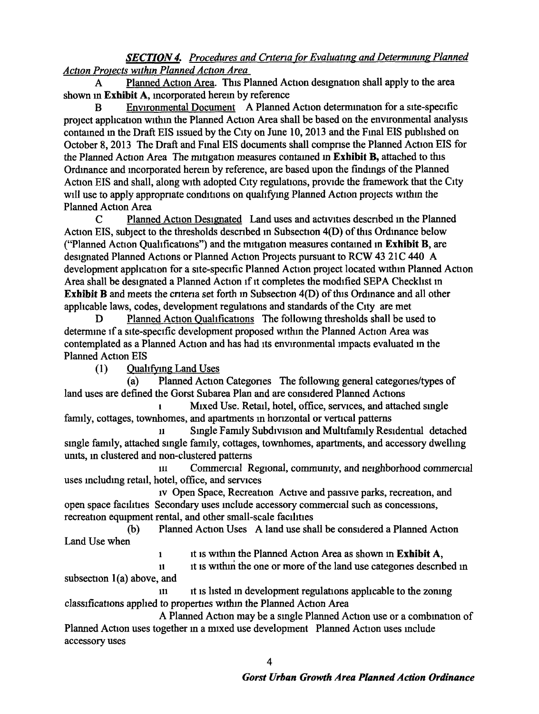## *SECTION 4. Procedures and Cntena (or Evaluatmg and Determmmg Planned*  Action Projects within Planned Action Area

A Planned Action Area. This Planned Action designation shall apply to the area shown in Exhibit A, incorporated herein by reference

B Environmental Document A Planned Action determination for a site-specific project application within the Planned Action Area shall be based on the environmental analysis contained in the Draft EIS issued by the City on June 10, 2013 and the Final EIS published on October 8, 2013 The Draft and Final EIS documents shall comprise the Planned Action EIS for the Planned Action Area The mitigation measures contained in Exhibit B, attached to this Ordmance and mcorporated herem by reference, are based upon the fmdmgs of the Planned Action EIS and shall, along with adopted City regulations, provide the framework that the City will use to apply appropriate conditions on qualifying Planned Action projects within the Planned Action Area

C Planned Action Designated Land uses and activities described in the Planned Action EIS, subject to the thresholds described in Subsection 4(D) of this Ordinance below ("Planned Action Qualifications") and the mitigation measures contained in Exhibit B, are designated Planned Actions or Planned Action Projects pursuant to RCW 43 21C 440 A development application for a site-specific Planned Action project located within Planned Action Area shall be designated a Planned Action if it completes the modified SEPA Checklist in Exhibit  $B$  and meets the criteria set forth in Subsection  $4(D)$  of this Ordinance and all other applicable laws, codes, development regulations and standards of the City are met

Planned Action Qualifications The following thresholds shall be used to determine if a site-specific development proposed within the Planned Action Area was contemplated as a Planned Action and has had its environmental impacts evaluated in the Planned Action EIS

(1) Quahfymg Land Uses

1

(a) Planned Action Categories The following general categories/types of land uses are defined the Gorst Subarea Plan and are constdered Planned Actions

Mixed Use. Retail, hotel, office, services, and attached single family, cottages, townhomes, and apartments m honzontal or vertical patterns

Single Family Subdivision and Multifamily Residential detached smgle famtly, attached smgle famtly, cottages, townhomes, apartments, and accessory dwellmg units, in clustered and non-clustered patterns

m Commercial RegiOnal, commuruty, and netghborhood commercial uses including retail, hotel, office, and services

iv Open Space, Recreation Active and passive parks, recreation, and open space facilities Secondary uses include accessory commercial such as concessions, recreation equipment rental, and other small-scale facilities

(b) Planned Action Uses A land use shall be considered a Planned Action Land Use when

it is within the Planned Action Area as shown in Exhibit A,

11 subsection l(a) above, and It ts wtthui the one or more of the land use categones descnbed m

m It IS listed m development regulations applicable to the zomng classtficattons applied to properties Withm the Planned Action Area

A Planned Action may be a single Planned Action use or a combination of Planned Action uses together in a mixed use development Planned Action uses include accessory uses

4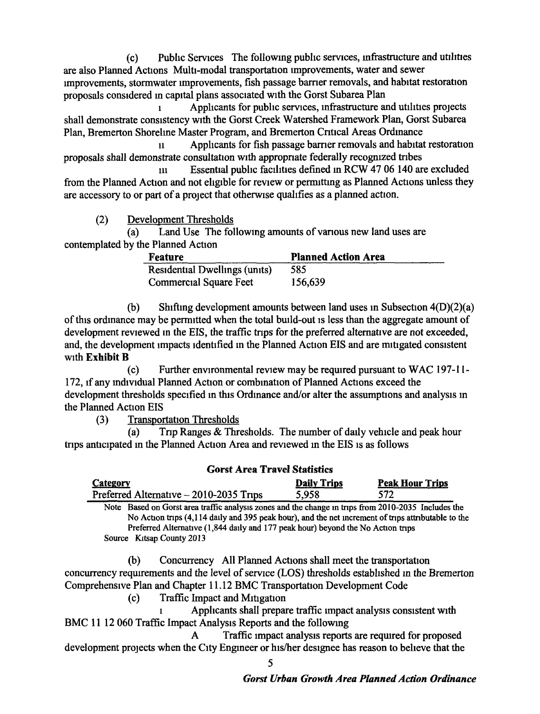(c) Pubhc Servtces The followmg pubhc semces, mfrastructure and utilities are also Planned Actions Multi-modal transportation improvements, water and sewer Improvements, stormwater Improvements, fish passage barrier removals, and habitat restoration proposals constdered m capttal plans associated wtth the Gorst Subarea Plan

1 Applicants for public services, infrastructure and utilities projects shall demonstrate consistency with the Gorst Creek Watershed Framework Plan, Gorst Subarea Plan, Bremerton Shorelme Master Program, and Bremerton Cntical Areas Ordmance

n Applicants for fish passage barrier removals and habitat restoration proposals shall demonstrate consultation with appropriate federally recognized tribes

m Essential pubhc facthttes defmed m RCW 47 06 140 are excluded from the Planned Action and not eligible for review or permitting as Planned Actions unless they are accessory to or part of a project that otherwise qualifies as a planned action.

(2) Development Thresholds

(a) Land Use The following amounts of various new land uses are contemplated by the Planned Actton

| <b>Feature</b>                | <b>Planned Action Area</b> |
|-------------------------------|----------------------------|
| Residential Dwellings (units) | 585                        |
| <b>Commercial Square Feet</b> | 156,639                    |

(b) Shifting development amounts between land uses in Subsection  $4(D)(2)(a)$ of this ordinance may be permitted when the total build-out is less than the aggregate amount of development reviewed in the EIS, the traffic trips for the preferred alternative are not exceeded, and, the development impacts identified in the Planned Action EIS and are mitigated consistent with Exhibit B

(c) Further environmental revtew may be requtred pursuant to WAC 197-11- 172, If any mdtvtdual Planned Action or combmation of Planned Actions exceed the development thresholds specified in this Ordinance and/or alter the assumptions and analysis in the Planned Action EIS

(3) Transportation Thresholds

(a) Tnp Ranges & Thresholds. The number of daily vehicle and peak hour tnps anticipated m the Planned Action Area and reviewed m the EIS Is as follows

| <b>Gorst Area Travel Statistics</b>                                                                 |                    |                        |  |
|-----------------------------------------------------------------------------------------------------|--------------------|------------------------|--|
| <b>Category</b>                                                                                     | <b>Daily Trips</b> | <b>Peak Hour Trips</b> |  |
| Preferred Alternative - 2010-2035 Trips                                                             | 5,958              | 572.                   |  |
| Note Based on Gorst area traffic analysis zones and the change in trips from 2010-2035 Includes the |                    |                        |  |
| No Action trips (4,114 daily and 395 peak hour), and the net increment of trips attributable to the |                    |                        |  |
| Preferred Alternative (1,844 daily and 177 peak hour) beyond the No Action trips                    |                    |                        |  |
| Source Kitsap County 2013                                                                           |                    |                        |  |

(b) Concurrency All Planned Actions shall meet the transportation concurrency requirements and the level of service (LOS) thresholds established in the Bremerton Comprehenstve Plan and Chapter 11.12 BMC Transportation Development Code

(c) Traffic Impact and Mitigation

Applicants shall prepare traffic impact analysis consistent with BMC 11 12 060 Traffic Impact Analysis Reports and the following

A Traffic impact analysis reports are required for proposed development projects when the City Engineer or his/her designee has reason to believe that the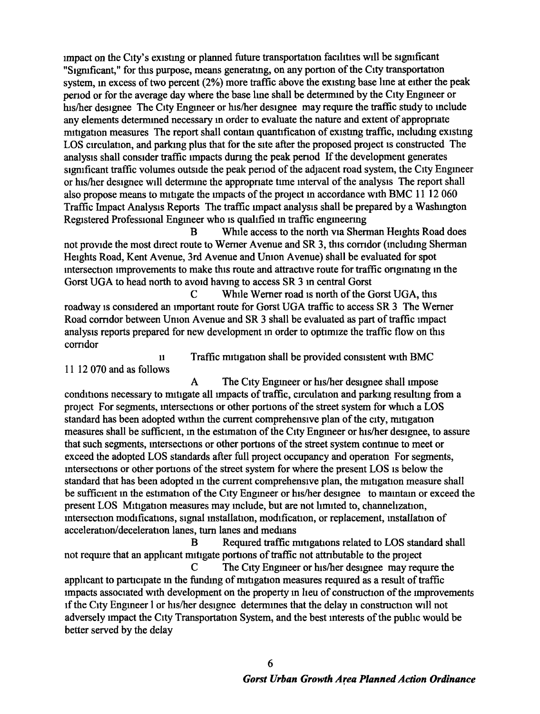Impact on the City's existmg or planned future transportation facilities wtll be stgmficant "Sigmficant," for this purpose, means generating, on any portion of the City transportation system, in excess of two percent (2%) more traffic above the existing base line at either the peak penod or for *the* average day where *the* base lme shall be determmed by *the* Ctty Engmeer or his/her destgnee The Ctty Engmeer or his/her designee may reqwre *the* traffic study to mclude any elements determmed necessary m order to evaluate *the* nature and extent of appropnate mitigation measures The report shall contain quantification of existing traffic, including existing LOS circulation, and parking plus that for the site after the proposed project is constructed The analysts shall consider traffic Impacts durmg *the* peak penod If the development generates significant traffic volumes outside the peak period of the adjacent road system, the City Engineer or hts!her designee wtll determme *the* appropnate time mterval of the analysts The report shall also propose means to mitigate the impacts of the project in accordance with BMC 11 12 060 Traffic Impact Analysis Reports The traffic impact analysis shall be prepared by a Washington Registered Professional Engineer who is qualified in traffic engineering

B While access to the north via Sherman Heights Road does not provide the most direct route to Werner Avenue and SR 3, this corridor (including Sherman Heights Road, *Kent* Avenue, 3rd Avenue and Umon Avenue) shall be evaluated for spot intersection improvements to make this route and attractive route for traffic originating in the Gorst UGA to head north to avoid having to access SR 3 in central Gorst

C While Werner road is north of the Gorst UGA, this roadway ts constdered an Important route for Gorst UGA traffic to access SR 3 The Werner Road corridor between Union Avenue and SR 3 shall be evaluated as part of traffic impact analysts reports prepared for new development in order to optimize the traffic flow on this corridor

Traffic mitigation shall be provided consistent with BMC

11 12 070 and as follows

11

A The City Engineer or his/her designee shall impose conditions necessary to mitigate all impacts of traffic, circulation and parking resulting from a proJect For segments, mtersecttons or other portions of *the* street system for which a LOS standard has been adopted withm the current comprehensive plan of the city, mttigatton measures shall be sufficient, in the estimation of the City Engineer or his/her designee, to assure that such segments, intersections or other portions of the street system continue to meet or exceed the adopted LOS standards after full project occupancy and operation For segments, mtersections or other portions of the street system for where the present LOS is below the standard that has been adopted in the current comprehensive plan, the mitigation measure shall be sufficient m the estimation of the Ctty Engmeer or htslher designee to mamtam or exceed *the*  present LOS Mitigation measures may include, but are not limited to, channelization, mtersection modifications, signal installation, modification, or replacement, installation of acceleration/deceleration lanes, turn lanes and medians

B Required traffic mitigations related to LOS standard shall not require that an applicant mitigate portions of traffic not attributable to the project

C The City Engineer or his/her designee may require the applicant to participate in the funding of mitigation measures required as a result of traffic impacts associated with development on the property in lieu of construction of the improvements If the City Engineer 1 or his/her designee determines that the delay in construction will not adversely impact the City Transportation System, and the best interests of the public would be better served by *the* delay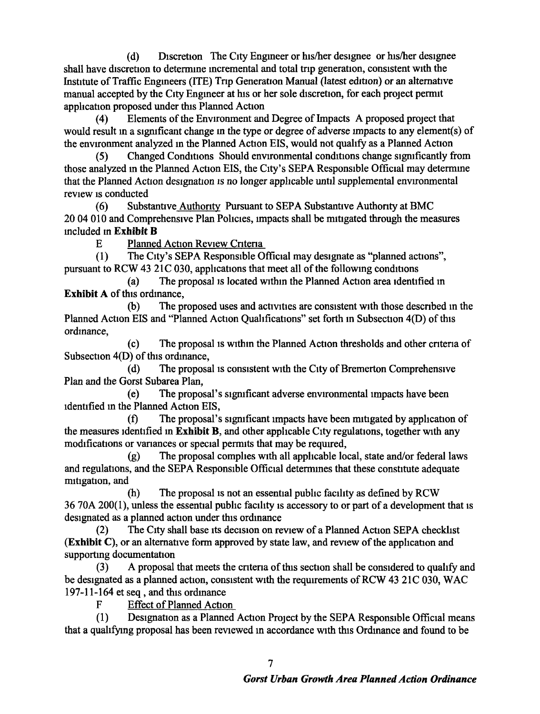(d) Discretion The City Engineer or his/her designee or his/her designee shall have discretion to determine incremental and total trip generation, consistent with the Institute of Traffic Engineers (ITE) Trip Generation Manual (latest edition) or an alternative manual accepted by the City Engineer at his or her sole discretion, for each project permit application proposed under this Planned Action

(4) Elements of the Environment and Degree of Impacts A proposed project that would result m a sigrnficant change m the type or degree of adverse nnpacts to any element(s) of the envrronment analyzed m the Planned Actton EIS, would not quahfy as a Planned Action

(5) Changed Conditions Should envrronmental conditions change sigrnficantly from those analyzed in the Planned Action EIS, the City's SEPA Responsible Official may determine that the Planned Action designation is no longer applicable until supplemental environmental review Is conducted

(6) Substantive Authonty Pursuant to SEPA Substantive Authonty at BMC 20 04 010 and Comprehensive Plan Policies, tmpacts shall be mitigated through the measures mcluded m Exhibit B

E Planned Action Review Criteria

(1) The City's SEPA Responsible Official may designate as "planned actions", pursuant to RCW 43 21C 030, applications that meet all of the following conditions

(a) The proposal Is located wtthm the Planned Action area Identified m Exhibit A of this ordinance,

(b) The proposed uses and activities are consistent with those descnbed m the Planned Action EIS and "Planned Action Qualifications" set forth in Subsection 4(D) of this ordinance,

(c) The proposal Is Withm the Planned Action thresholds and other cntena of Subsection 4(D) of this ordmance,

 $(d)$  The proposal is consistent with the City of Bremerton Comprehensive Plan and the Gorst Subarea Plan,

(e) The proposal's sigrnficant adverse environmental Impacts have been Identified m the Planned Action EIS,

(f) The proposal's significant tmpacts have been mitigated by application of the measures identified in Exhibit B, and other applicable City regulations, together with any modifications or vanances or special permits that may be requrred,

(g) The proposal comphes With all applicable local, state and/or federal laws and regulations, and the SEPA Responsible Official determines that these constitute adequate mitigation, and

 $(h)$  The proposal is not an essential public facility as defined by RCW 36 70A 200(1), unless the essential public facility is accessory to or part of a development that is designated as a planned action under this ordinance

(2) The City shall base its decision on review of a Planned Action SEPA checklist (Exhibit C), or an alternative form approved by state law, and review of the application and supporting documentation

(3) A proposal that meets the cntena ofthts section shall be considered to quahfy and be designated as a planned action, consistent with the requirements of RCW 43 21C 030, WAC  $197-11-164$  et seq, and this ordinance

F Effect of Planned Action

(1) Designation as a Planned Action Project by the SEPA Responsible Official means that a qualtfymg proposal has been revtewed m accordance With thts Ordmance and found to be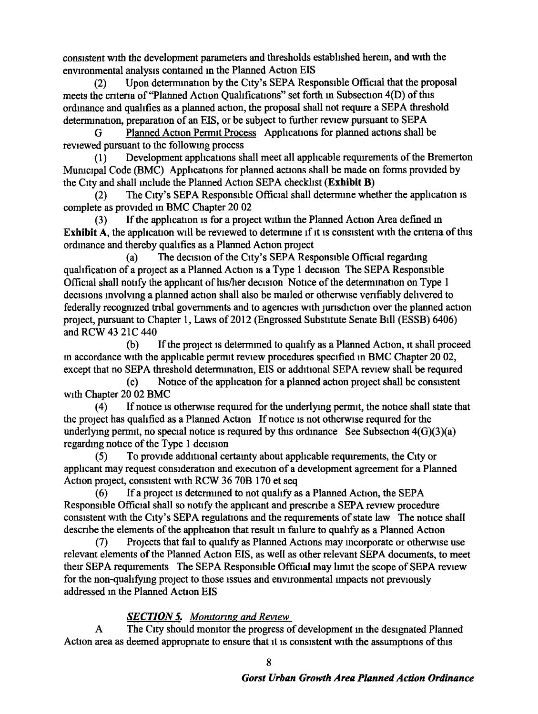consistent wtth the development parameters and thresholds established herem, and wtth the environmental analysis contained in the Planned Action EIS

(2) Upon determination by the City's SEPA Responsible Official that the proposal meets the criteria of "Planned Action Qualifications" set forth in Subsection 4(D) of this ordinance and qualifies as a planned action, the proposal shall not require a SEPA threshold determination, preparation of an EIS, or be subject to further review pursuant to SEPA

G Planned Action Permit Process Applications for planned actions shall be reviewed pursuant to the followmg process

(1) Development applications shall meet all applicable requirements of the Bremerton Municipal Code (BMC) Applications for planned actions shall be made on forms provided by the City and shall include the Planned Action SEPA checklist (Exhibit B)

(2) The City's SEPA Responsible Official shall determine whether the application is complete as provided m BMC Chapter 20 02

(3) If the application is for a project within the Planned Action Area defined in Exhibit A, the application will be reviewed to determine if it is consistent with the criteria of this ordinance and thereby qualifies as a Planned Action project

(a) The decision of the Ctty's SEPA Responsible Official regardmg qualification of a project as a Planned Action is a Type 1 decision The SEPA Responsible Official shall notify the applicant of his/her decision Nottce of the determmation on Type 1 decisions involving a planned action shall also be mailed or otherwise verifiably delivered to federally recognized tribal governments and to agencies with jurisdiction over the planned action project, pursuant to Chapter 1, Laws of 2012 (Engrossed Substitute Senate Bill (ESSB) 6406) and RCW 43 21C 440

 $(b)$  If the project is determined to qualify as a Planned Action, it shall proceed m accordance wtth the applicable permtt revtew procedures specified m BMC Chapter 20 02, except that no SEPA threshold determination, EIS or additional SEPA review shall be required

(c) Notice of the application for a planned action project shall be consistent with Chapter 20 02 BMC

(4) If notice IS otherWise required for the underlymg permit, the notice shall state that the project has qualified as a Planned Action If notice is not otherwise required for the underlying permit, no special notice is required by this ordinance See Subsection  $4(G)(3)(a)$ regardmg notice of the Type 1 decision

(5) To proVIde additional certamty about appbcable requirements, the City or applicant may request consideration and execution of a development agreement for a Planned Action project, consistent with RCW 36 70B 170 et seq

( 6) If a project ts determmed to not quahfy as a Planned Action, the SEP A Responsible Official shall so notify the applicant and prescribe a SEPA review procedure consistent with the City's SEPA regulations and the requirements of state law The notice shall describe the elements of the application that result in failure to qualify as a Planned Action

(7) Projects that fail to qualify as Planned Actions may mcorporate or otherwtse use relevant elements of the Planned Action EIS, as well as other relevant SEPA documents, to meet their SEPA requirements The SEPA Responsible Official may limit the scope of SEPA review for the non-qualifying project to those issues and environmental impacts not previously addressed in the Planned Action EIS

## *SECTION 5. Monitoring and Review*

A The City should monitor the progress of development in the designated Planned Action area as deemed appropriate to ensure that it is consistent with the assumptions of this

8